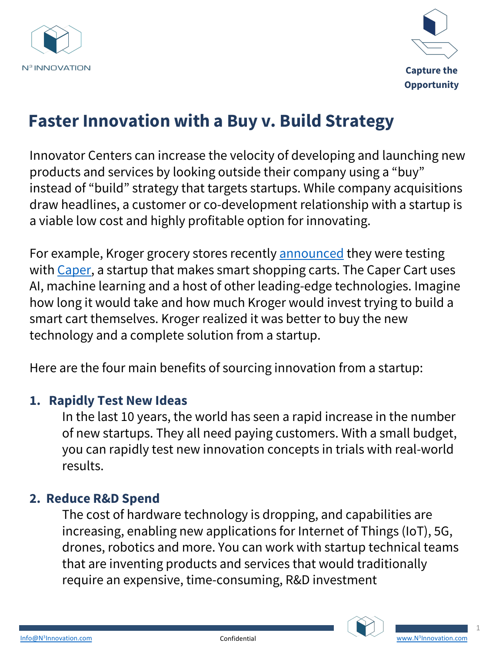



# **Faster Innovation with a Buy v. Build Strategy**

Innovator Centers can increase the velocity of developing and launching new products and services by looking outside their company using a "buy" instead of "build" strategy that targets start[ups. While co](https://www.supermarketnews.com/technology/kroger-tests-smart-shopping-cart-caper)mpany acquisitions dra[w headl](https://www.caper.ai/)ines, a customer or co-development relationship with a startup is a viable low cost and highly profitable option for innovating.

For example, Kroger grocery stores recently **announced** they were testing with Caper, a startup that makes smart shopping carts. The Caper Cart uses AI, machine learning and a host of other leading-edge technologies. Imagine how long it would take and how much Kroger would invest trying to build a smart cart themselves. Kroger realized it was better to buy the new technology and a complete solution from a startup.

Here are the four main benefits of sourcing innovation from a startup:

#### **1. Rapidly Test New Ideas**

In the last 10 years, the world has seen a rapid increase in the number of new startups. They all need paying customers. With a small budget, you can rapidly test new innovation concepts in trials with real-world results.

#### **2. Reduce R&D Spend**

The cost of hardware technology is dropping, and capabilities are increasing, enabling new applications for Internet of Things (IoT), 5G, drones, robotics and more. You can work with startup technical teams that are inventing products and services that would traditi[onally](http://www.n3innovation.com/)  [requir](mailto:Info@N3Innovation.com)e an expensive, time-consuming, R&D investment





1